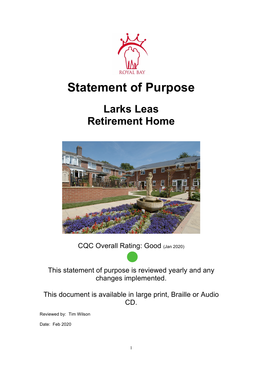

# **Statement of Purpose**

## **Larks Leas Retirement Home**



CQC Overall Rating: Good (Jan 2020)

This statement of purpose is reviewed yearly and any changes implemented.

This document is available in large print, Braille or Audio CD.

Reviewed by: Tim Wilson

Date: Feb 2020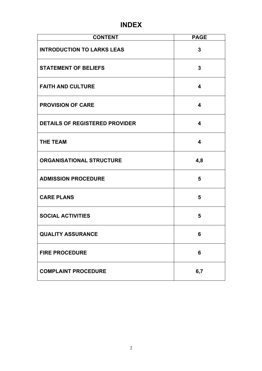### **INDEX**

| <b>CONTENT</b>                        | <b>PAGE</b>             |
|---------------------------------------|-------------------------|
| <b>INTRODUCTION TO LARKS LEAS</b>     | $\mathbf{3}$            |
| <b>STATEMENT OF BELIEFS</b>           | $\overline{\mathbf{3}}$ |
| <b>FAITH AND CULTURE</b>              | $\overline{\mathbf{4}}$ |
| <b>PROVISION OF CARE</b>              | $\overline{\mathbf{4}}$ |
| <b>DETAILS OF REGISTERED PROVIDER</b> | $\overline{\mathbf{4}}$ |
| <b>THE TEAM</b>                       | $\overline{\mathbf{4}}$ |
| <b>ORGANISATIONAL STRUCTURE</b>       | 4,8                     |
| <b>ADMISSION PROCEDURE</b>            | 5                       |
| <b>CARE PLANS</b>                     | 5                       |
| <b>SOCIAL ACTIVITIES</b>              | 5                       |
| <b>QUALITY ASSURANCE</b>              | 6                       |
| <b>FIRE PROCEDURE</b>                 | 6                       |
| <b>COMPLAINT PROCEDURE</b>            | 6,7                     |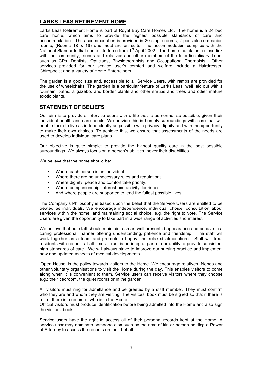#### **LARKS LEAS RETIREMENT HOME**

Larks Leas Retirement Home is part of Royal Bay Care Homes Ltd. The home is a 24 bed care home, which aims to provide the highest possible standards of care and accommodation. The accommodation is provided in 20 single rooms, 2 possible companion rooms, (Rooms 18 & 19) and most are en suite. The accommodation complies with the National Standards that came into force from 1<sup>st</sup> April 2002. The home maintains a close link with the community, friends and relatives and other members of the Interdisciplinary Team such as GPs, Dentists, Opticians, Physiotherapists and Occupational Therapists. Other services provided for our service user's comfort and welfare include a Hairdresser, Chiropodist and a variety of Home Entertainers.

The garden is a good size and, accessible to all Service Users, with ramps are provided for the use of wheelchairs. The garden is a particular feature of Larks Leas, well laid out with a fountain, paths, a gazebo, and border plants and other shrubs and trees and other mature exotic plants.

#### **STATEMENT OF BELIEFS**

Our aim is to provide all Service users with a life that is as normal as possible, given their individual health and care needs. We provide this in homely surroundings with care that will enable them to live as independently as possible with privacy, dignity and with the opportunity to make their own choices. To achieve this, we ensure that assessments of the needs are used to develop individual care plans.

Our objective is quite simple; to provide the highest quality care in the best possible surroundings. We always focus on a person's abilities, never their disabilities.

We believe that the home should be:

- Where each person is an individual.
- Where there are no unnecessary rules and regulations.
- Where dignity, peace and comfort take priority.
- Where companionship, interest and activity flourishes.
- And where people are supported to lead the fullest possible lives.

The Company's Philosophy is based upon the belief that the Service Users are entitled to be treated as individuals. We encourage independence, individual choice, consultation about services within the home, and maintaining social choice, e.g. the right to vote. The Service Users are given the opportunity to take part in a wide range of activities and interest.

We believe that our staff should maintain a smart well presented appearance and behave in a caring professional manner offering understanding, patience and friendship. The staff will work together as a team and promote a happy and relaxed atmosphere. Staff will treat residents with respect at all times. Trust is an integral part of our ability to provide consistent high standards of care. We will always strive to improve our nursing practice and implement new and updated aspects of medical developments.

'Open House' is the policy towards visitors to the Home. We encourage relatives, friends and other voluntary organisations to visit the Home during the day. This enables visitors to come along when it is convenient to them. Service users can receive visitors where they choose e.g.: their bedroom, the quiet rooms or in the garden

All visitors must ring for admittance and be greeted by a staff member. They must confirm who they are and whom they are visiting. The visitors' book must be signed so that if there is a fire, there is a record of who is in the Home.

Official visitors must produce identification before being admitted into the Home and also sign the visitors' book.

Service users have the right to access all of their personal records kept at the Home. A service user may nominate someone else such as the next of kin or person holding a Power of Attorney to access the records on their behalf.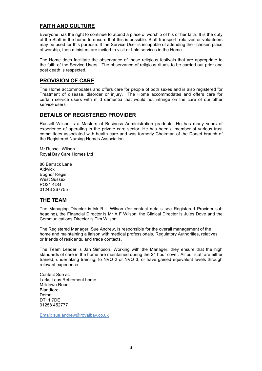#### **FAITH AND CULTURE**

Everyone has the right to continue to attend a place of worship of his or her faith. It is the duty of the Staff in the home to ensure that this is possible. Staff transport, relatives or volunteers may be used for this purpose. If the Service User is incapable of attending their chosen place of worship, then ministers are invited to visit or hold services in the Home.

The Home does facilitate the observance of those religious festivals that are appropriate to the faith of the Service Users. The observance of religious rituals to be carried out prior and post death is respected.

#### **PROVISION OF CARE**

The Home accommodates and offers care for people of both sexes and is also registered for Treatment of disease, disorder or injury. The Home accommodates and offers care for certain service users with mild dementia that would not infringe on the care of our other service users

#### **DETAILS OF REGISTERED PROVIDER**

Russell Wilson is a Masters of Business Administration graduate. He has many years of experience of operating in the private care sector. He has been a member of various trust committees associated with health care and was formerly Chairman of the Dorset branch of the Registered Nursing Homes Association.

Mr Russell Wilson Royal Bay Care Homes Ltd

86 Barrack Lane Aldwick Bognor Regis West Sussex PO21 4DG 01243 267755

#### **THE TEAM**

The Managing Director is Mr R L Wilson (for contact details see Registered Provider sub heading), the Financial Director is Mr A F Wilson, the Clinical Director is Jules Dove and the Communications Director is Tim Wilson.

The Registered Manager, Sue Andrew, is responsible for the overall management of the home and maintaining a liaison with medical professionals, Regulatory Authorities, relatives or friends of residents, and trade contacts.

The Team Leader is Jan Simpson. Working with the Manager, they ensure that the high standards of care in the home are maintained during the 24 hour cover. All our staff are either trained, undertaking training, to NVQ 2 or NVQ 3, or have gained equivalent levels through relevant experience.

Contact Sue at: Larks Leas Retirement home Milldown Road Blandford Dorset DT11 7DE 01258 452777

Email: sue.andrew@royalbay.co.uk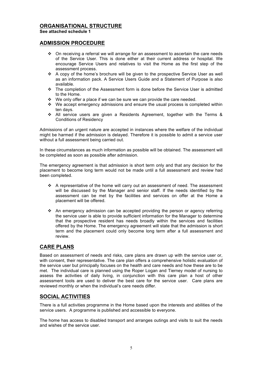#### **ORGANISATIONAL STRUCTURE**

**See attached schedule 1**

#### **ADMISSION PROCEDURE**

- $\cdot \cdot$  On receiving a referral we will arrange for an assessment to ascertain the care needs of the Service User. This is done either at their current address or hospital. We encourage Service Users and relatives to visit the Home as the first step of the assessment process.
- $\div$  A copy of the home's brochure will be given to the prospective Service User as well as an information pack. A Service Users Guide and a Statement of Purpose is also available.
- \* The completion of the Assessment form is done before the Service User is admitted to the Home.
- We only offer a place if we can be sure we can provide the care needed.
- $\cdot$  We accept emergency admissions and ensure the usual process is completed within ten days.
- v All service users are given a Residents Agreement, together with the Terms & Conditions of Residency

Admissions of an urgent nature are accepted in instances where the welfare of the individual might be harmed if the admission is delayed. Therefore it is possible to admit a service user without a full assessment being carried out.

In these circumstances as much information as possible will be obtained. The assessment will be completed as soon as possible after admission.

The emergency agreement is that admission is short term only and that any decision for the placement to become long term would not be made until a full assessment and review had been completed.

- $\cdot \cdot$  A representative of the home will carry out an assessment of need. The assessment will be discussed by the Manager and senior staff. If the needs identified by the assessment can be met by the facilities and services on offer at the Home a placement will be offered.
- An emergency admission can be accepted providing the person or agency referring the service user is able to provide sufficient information for the Manager to determine that the prospective resident has needs broadly within the services and facilities offered by the Home. The emergency agreement will state that the admission is short term and the placement could only become long term after a full assessment and review.

#### **CARE PLANS**

Based on assessment of needs and risks, care plans are drawn up with the service user or, with consent, their representative. The care plan offers a comprehensive holistic evaluation of the service user but principally focuses on the health and care needs and how these are to be met. The individual care is planned using the Roper Logan and Tierney model of nursing to assess the activities of daily living, in conjunction with this care plan a host of other assessment tools are used to deliver the best care for the service user. Care plans are reviewed monthly or when the individual's care needs differ.

#### **SOCIAL ACTIVITIES**

There is a full activities programme in the Home based upon the interests and abilities of the service users. A programme is published and accessible to everyone.

The home has access to disabled transport and arranges outings and visits to suit the needs and wishes of the service user.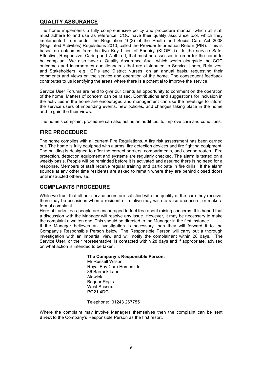#### **QUALITY ASSURANCE**

The home implements a fully comprehensive policy and procedure manual, which all staff must adhere to and use as reference. CQC have their quality assurance tool, which they implemented from under the Regulation 10(3) of the Health and Social Care Act 2008 (Regulated Activities) Regulations 2010, called the Provider Information Return (PIR). This is based on outcomes from the five Key Lines of Enquiry (KLOE) i.e. Is the service Safe, Effective, Responsive, Caring and Well Led, that must be assessed in order for the home to be compliant. We also have a Quality Assurance Audit which works alongside the CQC outcomes and incorporates questionnaires that are distributed to Service Users, Relatives, and Stakeholders, e.g.: GP's and District Nurses, on an annual basis, requesting their comments and views on the service and operation of the home. The consequent feedback contributes to us identifying the areas where there is a potential to improve the service.

Service User Forums are held to give our clients an opportunity to comment on the operation of the home. Matters of concern can be raised. Contributions and suggestions for inclusion in the activities in the home are encouraged and management can use the meetings to inform the service users of impending events, new policies, and changes taking place in the home and to gain the their views.

The home's complaint procedure can also act as an audit tool to improve care and conditions.

#### **FIRE PROCEDURE**

The home complies with all current Fire Regulations. A fire risk assessment has been carried out. The home is fully equipped with alarms, fire detection devices and fire fighting equipment. The building is designed to offer the correct barriers, compartments, and escape routes. Fire protection, detection equipment and systems are regularly checked. The alarm is tested on a weekly basis. People will be reminded before it is activated and assured there is no need for a response. Members of staff receive regular training and participate in fire drills. If the alarm sounds at any other time residents are asked to remain where they are behind closed doors until instructed otherwise.

#### **COMPLAINTS PROCEDURE**

While we trust that all our service users are satisfied with the quality of the care they receive, there may be occasions when a resident or relative may wish to raise a concern, or make a formal complaint.

Here at Larks Leas people are encouraged to feel free about raising concerns. It is hoped that a discussion with the Manager will resolve any issue. However, it may be necessary to make the complaint a written one. This should be directed to the Manager in the first instance.

If the Manager believes an investigation is necessary then they will forward it to the Company's Responsible Person below. The Responsible Person will carry out a thorough investigation with an impartial view and will notify the complainant within 28 days. The Service User, or their representative, is contacted within 28 days and if appropriate, advised on what action is intended to be taken.

#### **The Company's Responsible Person:**

Mr Russell Wilson Royal Bay Care Homes Ltd 86 Barrack Lane Aldwick Bognor Regis West Sussex PO21 4DG

Telephone: 01243 267755

Where the complaint may involve Managers themselves then the complaint can be sent **direct** to the Company's Responsible Person as the first resort.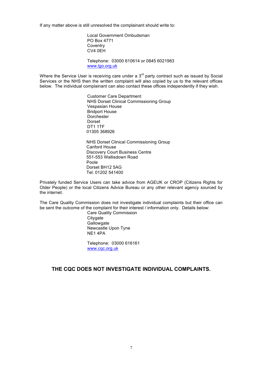If any matter above is still unresolved the complainant should write to:

Local Government Ombudsman PO Box 4771 **Coventry** CV4 0EH

Telephone: 03000 610614 or 0845 6021983 www.lgo.org.uk

Where the Service User is receiving care under a  $3<sup>rd</sup>$  party contract such as issued by Social Services or the NHS then the written complaint will also copied by us to the relevant offices below. The individual complainant can also contact these offices independently if they wish.

> Customer Care Department NHS Dorset Clinical Commissioning Group Vespasian House Bridport House **Dorchester** Dorset DT1 1TF 01305 368926 NHS Dorset Clinical Commissioning Group Canford House Discovery Court Business Centre 551-553 Wallisdown Road

Poole Dorset BH12 5AG Tel: 01202 541400

Privately funded Service Users can take advice from AGEUK or CROP (Citizens Rights for Older People) or the local Citizens Advice Bureau or any other relevant agency sourced by the internet.

The Care Quality Commission does not investigate individual complaints but their office can be sent the outcome of the complaint for their interest / information only. Details below:

Care Quality Commission **Citygate Gallowgate** Newcastle Upon Tyne NE1 4PA

Telephone: 03000 616161 www.cqc.org.uk

#### **THE CQC DOES NOT INVESTIGATE INDIVIDUAL COMPLAINTS.**